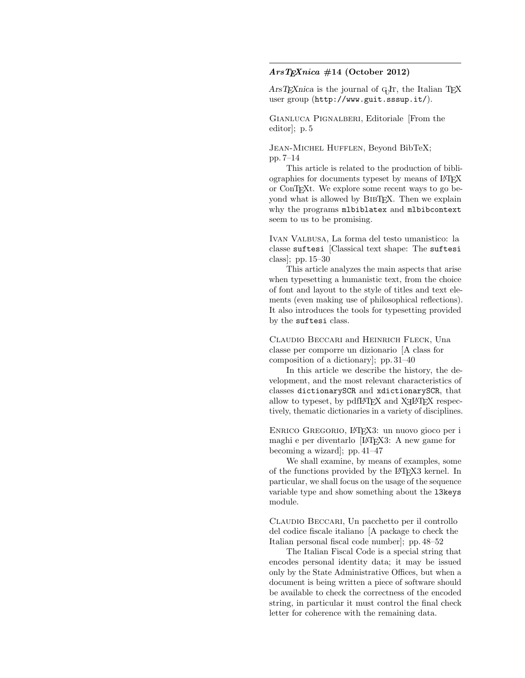## $AnsT<sub>E</sub>Xnica #14 (October 2012)$

 $\text{ArsT}_{\text{E}}$ Xnica is the journal of G<sub>U</sub>T, the Italian T<sub>E</sub>X user group (http://www.guit.sssup.it/).

Gianluca Pignalberi, Editoriale [From the editor]; p. 5

Jean-Michel Hufflen, Beyond BibTeX; pp. 7–14

This article is related to the production of bibliographies for documents typeset by means of LAT<sub>EX</sub> or ConTEXt. We explore some recent ways to go beyond what is allowed by BibTEX. Then we explain why the programs mlbiblatex and mlbibcontext seem to us to be promising.

Ivan Valbusa, La forma del testo umanistico: la classe suftesi [Classical text shape: The suftesi class]; pp. 15–30

This article analyzes the main aspects that arise when typesetting a humanistic text, from the choice of font and layout to the style of titles and text elements (even making use of philosophical reflections). It also introduces the tools for typesetting provided by the suftesi class.

Claudio Beccari and Heinrich Fleck, Una classe per comporre un dizionario [A class for composition of a dictionary]; pp. 31–40

In this article we describe the history, the development, and the most relevant characteristics of classes dictionarySCR and xdictionarySCR, that allow to type<br>set, by  $\operatorname{pdfIATEX}$  and  $\operatorname{X\!I\!A\!I\!F\!X}$  respectively, thematic dictionaries in a variety of disciplines.

Enrico Gregorio, LATEX3: un nuovo gioco per i maghi e per diventarlo [LATEX3: A new game for becoming a wizard]; pp. 41–47

We shall examine, by means of examples, some of the functions provided by the LATEX3 kernel. In particular, we shall focus on the usage of the sequence variable type and show something about the l3keys module.

Claudio Beccari, Un pacchetto per il controllo del codice fiscale italiano [A package to check the Italian personal fiscal code number]; pp. 48–52

The Italian Fiscal Code is a special string that encodes personal identity data; it may be issued only by the State Administrative Offices, but when a document is being written a piece of software should be available to check the correctness of the encoded string, in particular it must control the final check letter for coherence with the remaining data.